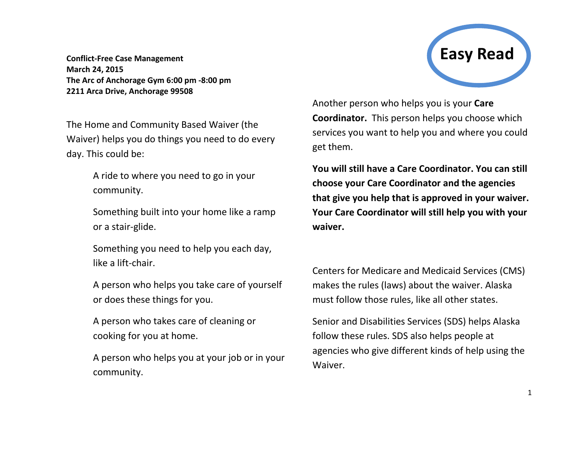**Conflict-Free Case Management March 24, 2015 The Arc of Anchorage Gym 6:00 pm -8:00 pm 2211 Arca Drive, Anchorage 99508**

The Home and Community Based Waiver (the Waiver) helps you do things you need to do every day. This could be:

> A ride to where you need to go in your community.

Something built into your home like a ramp or a stair-glide.

Something you need to help you each day, like a lift-chair.

A person who helps you take care of yourself or does these things for you.

A person who takes care of cleaning or cooking for you at home.

A person who helps you at your job or in your community.



Another person who helps you is your **Care Coordinator.** This person helps you choose which services you want to help you and where you could get them.

**You will still have a Care Coordinator. You can still choose your Care Coordinator and the agencies that give you help that is approved in your waiver. Your Care Coordinator will still help you with your waiver.**

Centers for Medicare and Medicaid Services (CMS) makes the rules (laws) about the waiver. Alaska must follow those rules, like all other states.

Senior and Disabilities Services (SDS) helps Alaska follow these rules. SDS also helps people at agencies who give different kinds of help using the Waiver.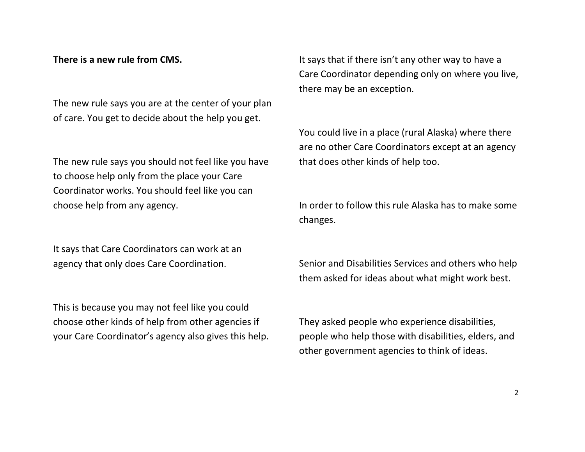## **There is a new rule from CMS.**

The new rule says you are at the center of your plan of care. You get to decide about the help you get.

The new rule says you should not feel like you have to choose help only from the place your Care Coordinator works. You should feel like you can choose help from any agency.

It says that Care Coordinators can work at an agency that only does Care Coordination.

This is because you may not feel like you could choose other kinds of help from other agencies if your Care Coordinator's agency also gives this help. It says that if there isn't any other way to have a Care Coordinator depending only on where you live, there may be an exception.

You could live in a place (rural Alaska) where there are no other Care Coordinators except at an agency that does other kinds of help too.

In order to follow this rule Alaska has to make some changes.

Senior and Disabilities Services and others who help them asked for ideas about what might work best.

They asked people who experience disabilities, people who help those with disabilities, elders, and other government agencies to think of ideas.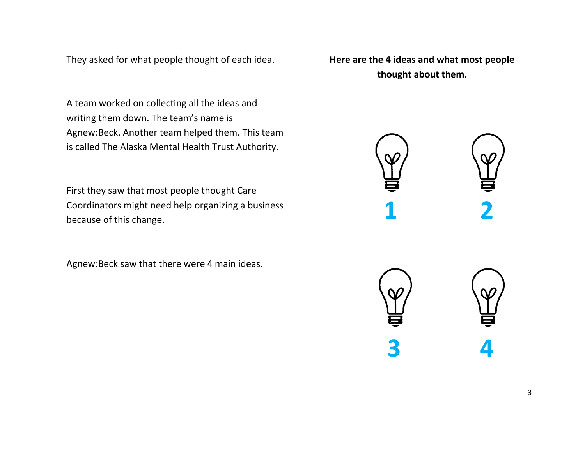They asked for what people thought of each idea.

A team worked on collecting all the ideas and writing them down. The team's name is Agnew:Beck. Another team helped them. This team is called The Alaska Mental Health Trust Authority.

First they saw that most people thought Care Coordinators might need help organizing a business because of this change.

Agnew:Beck saw that there were 4 main ideas.

**Here are the 4 ideas and what most people thought about them.**



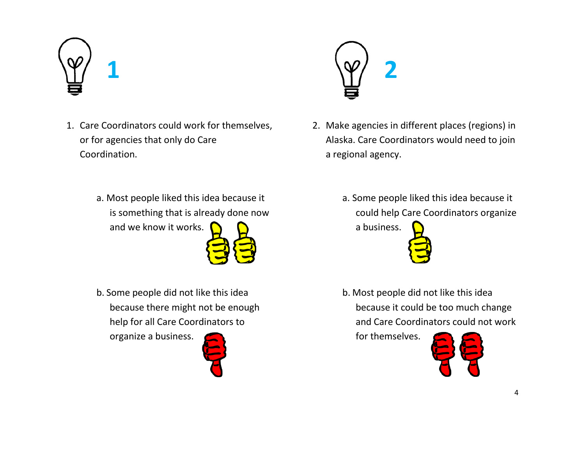

- 1. Care Coordinators could work for themselves, or for agencies that only do Care Coordination.
	- a. Most people liked this idea because it is something that is already done now and we know it works.



b. Some people did not like this idea because there might not be enough help for all Care Coordinators to

organize a business.





- 2. Make agencies in different places (regions) in Alaska. Care Coordinators would need to join a regional agency.
	- a. Some people liked this idea because it could help Care Coordinators organize

a business.

b. Most people did not like this idea because it could be too much change and Care Coordinators could not work

for themselves.

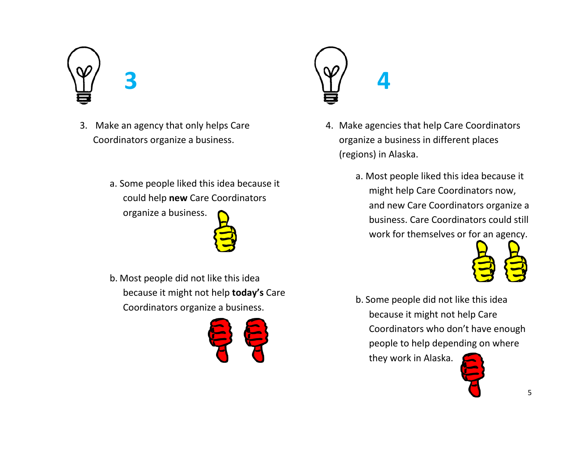- 3. Make an agency that only helps Care Coordinators organize a business.
	- a. Some people liked this idea because it could help **new** Care Coordinators organize a business.



b. Most people did not like this idea because it might not help **today's** Care Coordinators organize a business.





- 4. Make agencies that help Care Coordinators organize a business in different places (regions) in Alaska.
	- a. Most people liked this idea because it might help Care Coordinators now, and new Care Coordinators organize a business. Care Coordinators could still work for themselves or for an agency.



b. Some people did not like this idea because it might not help Care Coordinators who don't have enough people to help depending on where

they work in Alaska.